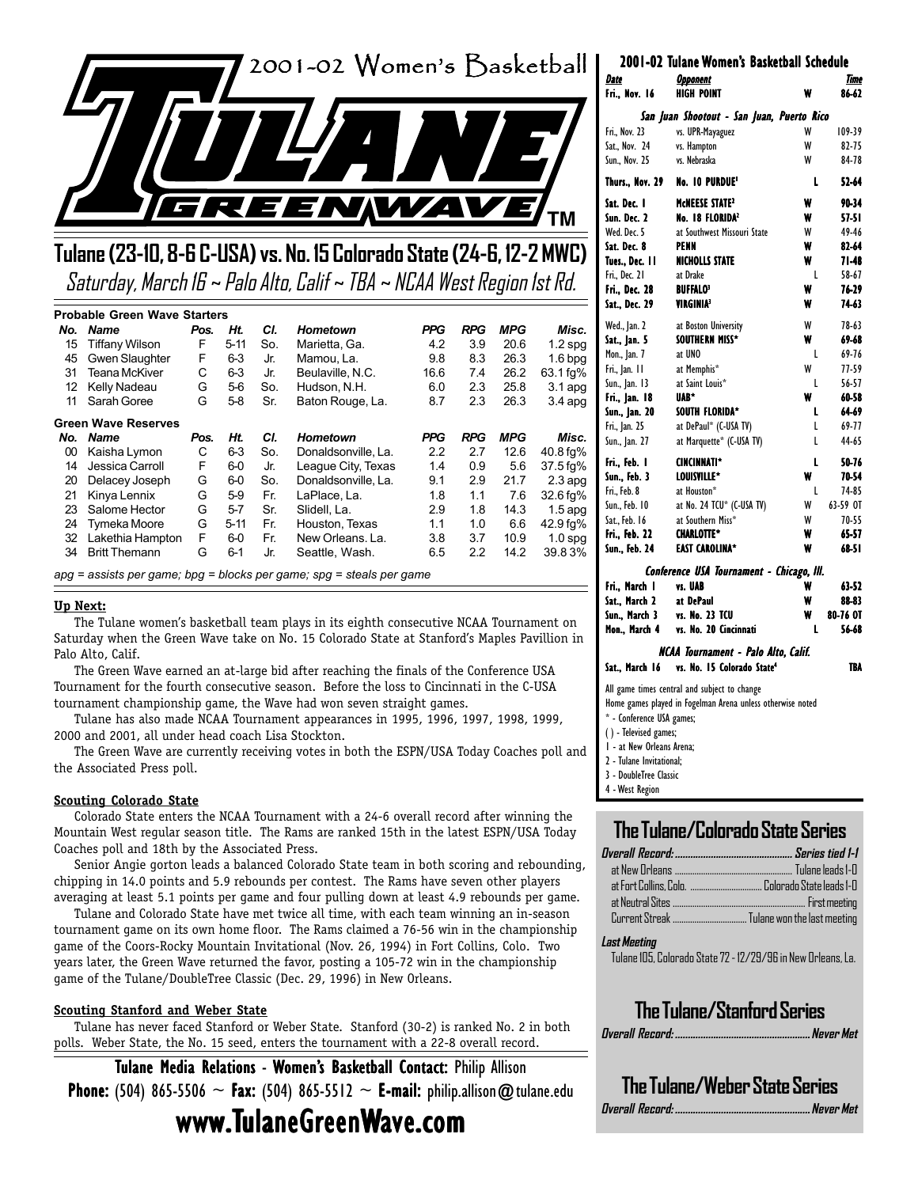

# **Tulane (23-10, 8-6 C-USA) vs. No. 15 Colorado State (24-6, 12-2 MWC)** Saturday, March 16 ~ Palo Alto, Calif ~ TBA ~ NCAA West Region 1st Rd.

#### **Probable Green Wave Starters**

| No. | <b>Name</b>                | Pos. | Ht.      | CI. | <b>Hometown</b>                                                        | <b>PPG</b> | <b>RPG</b> | <b>MPG</b> | Misc.                  |
|-----|----------------------------|------|----------|-----|------------------------------------------------------------------------|------------|------------|------------|------------------------|
| 15  | <b>Tiffany Wilson</b>      | F    | $5 - 11$ | So. | Marietta, Ga.                                                          | 4.2        | 3.9        | 20.6       | $1.2$ spg              |
| 45  | Gwen Slaughter             | F    | $6 - 3$  | Jr. | Mamou, La.                                                             | 9.8        | 8.3        | 26.3       | $1.6$ bpg              |
| 31  | <b>Teana McKiver</b>       | С    | $6 - 3$  | Jr. | Beulaville, N.C.                                                       | 16.6       | 7.4        | 26.2       | 63.1 fg%               |
| 12  | Kelly Nadeau               | G    | $5-6$    | So. | Hudson, N.H.                                                           | 6.0        | 2.3        | 25.8       | $3.1$ apg              |
| 11  | Sarah Goree                | G    | $5 - 8$  | Sr. | Baton Rouge, La.                                                       | 8.7        | 2.3        | 26.3       | $3.4$ apg              |
|     | <b>Green Wave Reserves</b> |      |          |     |                                                                        |            |            |            |                        |
| No. | <b>Name</b>                | Pos. | Ht.      | CI. | <b>Hometown</b>                                                        | <b>PPG</b> | <b>RPG</b> | <b>MPG</b> | Misc.                  |
| 00  | Kaisha Lymon               | С    | $6 - 3$  | So. | Donaldsonville, La.                                                    | 2.2        | 2.7        | 12.6       | 40.8 fg%               |
| 14  | Jessica Carroll            | F    | $6-0$    | Jr. | League City, Texas                                                     | 1.4        | 0.9        | 5.6        | $37.5 \,\mathrm{fg\%}$ |
| 20  | Delacey Joseph             | G    | $6-0$    | So. | Donaldsonville, La.                                                    | 9.1        | 2.9        | 21.7       | $2.3$ apq              |
| 21  | Kinya Lennix               | G    | $5-9$    | Fr. | LaPlace, La.                                                           | 1.8        | 1.1        | 7.6        | 32.6 fg%               |
| 23  | Salome Hector              | G    | $5 - 7$  | Sr. | Slidell, La.                                                           | 2.9        | 1.8        | 14.3       | $1.5$ apg              |
| 24  | Tymeka Moore               | G    | $5 - 11$ | Fr. | Houston, Texas                                                         | 1.1        | 1.0        | 6.6        | 42.9 fg%               |
| 32  | Lakethia Hampton           | F    | $6-0$    | Fr. | New Orleans, La.                                                       | 3.8        | 3.7        | 10.9       | $1.0$ spg              |
| 34  | <b>Britt Themann</b>       | G    | $6 - 1$  | Jr. | Seattle, Wash.                                                         | 6.5        | 2.2        | 14.2       | 39.83%                 |
|     |                            |      |          |     | $apq =$ assists per game; bpg = blocks per game; spg = steals per game |            |            |            |                        |

#### **Up Next:**

The Tulane women's basketball team plays in its eighth consecutive NCAA Tournament on Saturday when the Green Wave take on No. 15 Colorado State at Stanford's Maples Pavillion in Palo Alto, Calif.

The Green Wave earned an at-large bid after reaching the finals of the Conference USA Tournament for the fourth consecutive season. Before the loss to Cincinnati in the C-USA tournament championship game, the Wave had won seven straight games.

Tulane has also made NCAA Tournament appearances in 1995, 1996, 1997, 1998, 1999, 2000 and 2001, all under head coach Lisa Stockton.

The Green Wave are currently receiving votes in both the ESPN/USA Today Coaches poll and the Associated Press poll.

#### **Scouting Colorado State**

Colorado State enters the NCAA Tournament with a 24-6 overall record after winning the Mountain West regular season title. The Rams are ranked 15th in the latest ESPN/USA Today Coaches poll and 18th by the Associated Press.

Senior Angie gorton leads a balanced Colorado State team in both scoring and rebounding, chipping in 14.0 points and 5.9 rebounds per contest. The Rams have seven other players averaging at least 5.1 points per game and four pulling down at least 4.9 rebounds per game.

Tulane and Colorado State have met twice all time, with each team winning an in-season tournament game on its own home floor. The Rams claimed a 76-56 win in the championship game of the Coors-Rocky Mountain Invitational (Nov. 26, 1994) in Fort Collins, Colo. Two years later, the Green Wave returned the favor, posting a 105-72 win in the championship game of the Tulane/DoubleTree Classic (Dec. 29, 1996) in New Orleans.

#### **Scouting Stanford and Weber State**

Tulane has never faced Stanford or Weber State. Stanford (30-2) is ranked No. 2 in both polls. Weber State, the No. 15 seed, enters the tournament with a 22-8 overall record.

Tulane Media Relations - Women's Basketball Contact: Philip Allison

**Phone:** (504) 865-5506  $\sim$  Fax: (504) 865-5512  $\sim$  E-mail: philip.allison@tulane.edu

# www.TulaneGreenWave.com

|                     | 2001-02 Tulane Women's Basketball Schedule |   |               |
|---------------------|--------------------------------------------|---|---------------|
| Date<br>Fri Nov. 16 | <b>Opponent</b><br><b>HIGH POINT</b>       | w | Time<br>86-62 |
|                     | San Juan Shootout - San Juan, Puerto Rico  |   |               |
| Fri., Nov. 23       | vs. UPR-Mayaguez                           | W | 109-39        |
| Sat., Nov. 24       | vs. Hampton                                | W | 82-75         |
| Sun., Nov. 25       | vs. Nebraska                               | W | 84-78         |
| Thurs., Nov. 29     | <b>No. 10 PURDUE'</b>                      | L | 52-64         |
| Sat. Dec. I         | MCNEESE STATE <sup>2</sup>                 | w | 90-34         |
| Sun. Dec. 2         | No. 18 FLORIDA <sup>2</sup>                | w | 57-51         |
| Wed. Dec. 5         | at Southwest Missouri State                | W | 49-46         |
| Sat. Dec. 8         | PENN                                       | w | 82-64         |
| Tues., Dec. I l     | <b>NICHOLLS STATE</b>                      | W | 71-48         |
| Fri., Dec. 21       | at Drake                                   | L | 58-67         |
| Fri., Dec. 28       | <b>BUFFALO3</b>                            | w | 76-29         |
| Sat., Dec. 29       | <b>VIRGINIA3</b>                           | W | 74-63         |
| Wed., Jan. 2        | at Boston University                       | W | 78-63         |
| Sat., Jan. 5        | SOUTHERN MISS*                             | W | 69-68         |
| Mon., Jan. 7        | at UNO                                     | L | 69-76         |
| Fri., Jan. II       | at Memphis*                                | W | 77-59         |
| Sun., Jan. 13       | at Saint Louis*                            | L | 56-57         |
| Fri., Jan. 18       | UAB*                                       | W | 60-58         |
| Sun., Jan. 20       | SOUTH FLORIDA*                             | L | 64-69         |
| Fri., Jan. 25       | at DePaul* (C-USA TV)                      | L | 69-77         |
| Sun., Jan. 27       | at Marquette* (C-USA TV)                   | L | 44-65         |
| Fri., Feb. I        | <b>CINCINNATI*</b>                         | L | 50-76         |
| Sun., Feb. 3        | LOUISVILLE*                                | W | 70-54         |
| Fri., Feb. 8        | at Houston*                                | L | 74-85         |
| Sun., Feb. 10       | at No. 24 TCU* (C-USA TV)                  | W | 63-59 OT      |
| Sat., Feb. 16       | at Southern Miss*                          | W | 70-55         |
| Fri., Feb. 22       | <b>CHARLOTTE*</b>                          | w | 65-57         |
| Sun., Feb. 24       | <b>EAST CAROLINA*</b>                      | w | 68-51         |
|                     | Conference USA Tournament - Chicago, III.  |   |               |
| Fri., March I       | vs. UAB                                    | w | 63-52         |
| Sat., March 2       | at DePaul                                  | w | 88-83         |
| Sun., March 3       | vs. No. 23 TCU                             | w | 80-76 OT      |
| Mon., March 4       | vs. No. 20 Cincinnati                      | L | 56-68         |
|                     | NCAA Tournament - Palo Alto, Calif.        |   |               |

Sat., March 16 vs. No. 15 Colorado State<sup>4</sup> TBA

All game times central and subject to change

Home games played in Fogelman Arena unless otherwise noted

- \* Conference USA games;
- ( ) Televised games;
- 1 at New Orleans Arena;
- 2 Tulane Invitational;

3 - DoubleTree Classic

4 - West Region

# **The Tulane/Colorado State Series**

#### **Last Meeting**

Tulane 105, Colorado State 72 - 12/29/96 in New Orleans, La.

# **The Tulane/Stanford Series**

**Overall Record: .....................................................Never Met**

**The Tulane/Weber State Series Overall Record: .....................................................Never Met**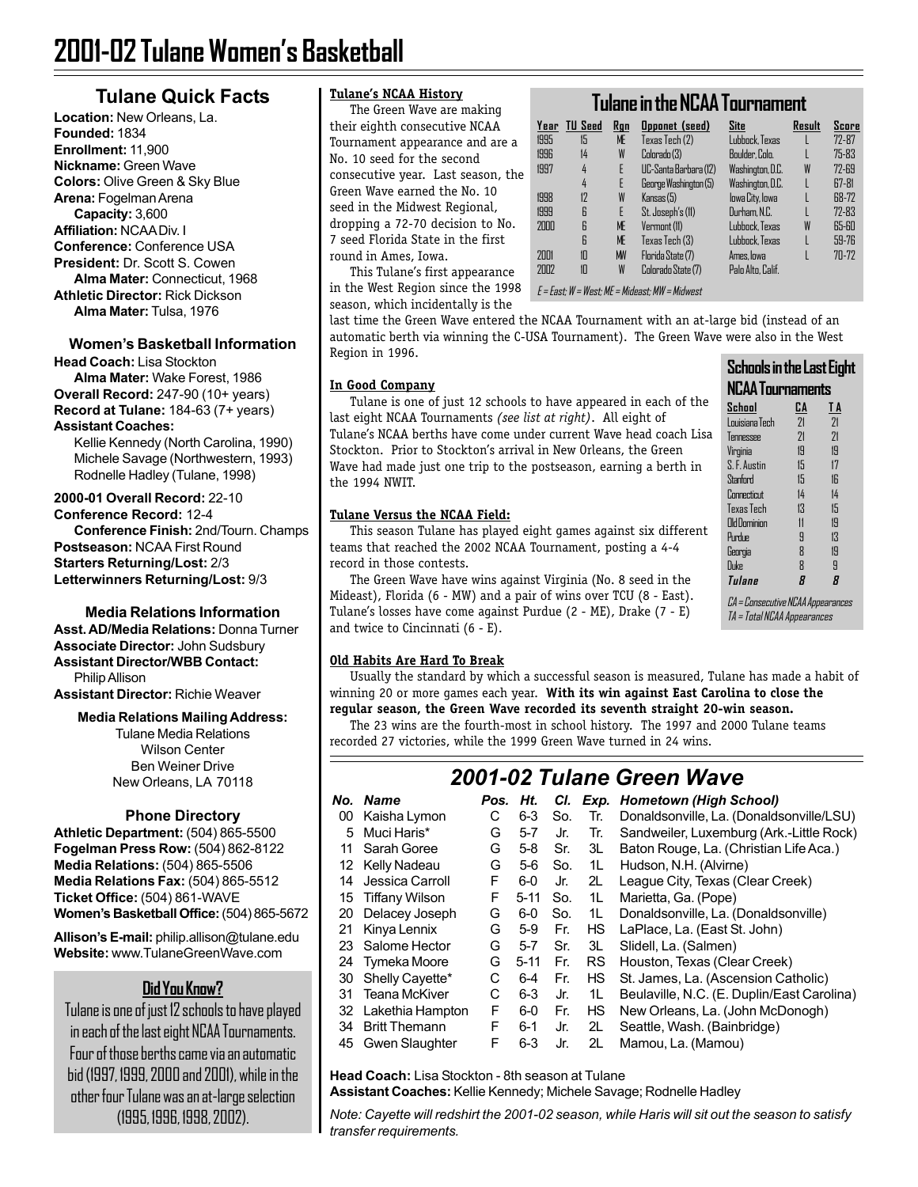## **Tulane Quick Facts**

**Location:** New Orleans, La. **Founded:** 1834 **Enrollment:** 11,900 **Nickname:** Green Wave **Colors:** Olive Green & Sky Blue **Arena:** Fogelman Arena **Capacity:** 3,600 **Affiliation:** NCAA Div. I **Conference:** Conference USA **President:** Dr. Scott S. Cowen **Alma Mater:** Connecticut, 1968 **Athletic Director:** Rick Dickson **Alma Mater:** Tulsa, 1976

#### **Women's Basketball Information Head Coach:** Lisa Stockton

**Alma Mater:** Wake Forest, 1986 **Overall Record:** 247-90 (10+ years) **Record at Tulane:** 184-63 (7+ years) **Assistant Coaches:**

Kellie Kennedy (North Carolina, 1990) Michele Savage (Northwestern, 1993) Rodnelle Hadley (Tulane, 1998)

**2000-01 Overall Record:** 22-10 **Conference Record:** 12-4 **Conference Finish:** 2nd/Tourn. Champs **Postseason:** NCAA First Round **Starters Returning/Lost:** 2/3 **Letterwinners Returning/Lost:** 9/3

**Media Relations Information**

**Asst. AD/Media Relations:** Donna Turner **Associate Director:** John Sudsbury **Assistant Director/WBB Contact:** Philip Allison **Assistant Director:** Richie Weaver

#### **Media Relations Mailing Address:**

Tulane Media Relations Wilson Center Ben Weiner Drive New Orleans, LA 70118

#### **Phone Directory**

**Athletic Department:** (504) 865-5500 **Fogelman Press Row:** (504) 862-8122 **Media Relations:** (504) 865-5506 **Media Relations Fax:** (504) 865-5512 **Ticket Office:** (504) 861-WAVE **Women's Basketball Office:** (504) 865-5672

**Allison's E-mail:** philip.allison@tulane.edu **Website:** www.TulaneGreenWave.com

# **Did You Know?**

Tulane is one of just 12 schools to have played in each of the last eight NCAA Tournaments. Four of those berths came via an automatic bid (1997, 1999, 2000 and 2001), while in the other four Tulane was an at-large selection (1995, 1996, 1998, 2002).

#### **Tulane's NCAA History**

The Green Wave are making their eighth consecutive NCAA Tournament appearance and are a No. 10 seed for the second consecutive year. Last season, the Green Wave earned the No. 10 seed in the Midwest Regional, dropping a 72-70 decision to No. 7 seed Florida State in the first round in Ames, Iowa.

in the West Region since the 1998  $\mid$  E = East; W = West; ME = Mideast; MW = Midwest This Tulane's first appearance season, which incidentally is the

**In Good Company**

the 1994 NWIT.

# **Tulane in the NCAA Tournament**

| Year | <b>TU Seed</b> | Rgn       | <b>Opponet</b> (seed) | Site              | Result | Score     |
|------|----------------|-----------|-----------------------|-------------------|--------|-----------|
| 1995 | 15             | ME        | Texas Tech (2)        | Lubbock. Texas    |        | 72-87     |
| 1996 | 14             | W         | Colorado (3)          | Boulder, Colo.    |        | $75 - 83$ |
| 1997 | 4              | E         | UC-Santa Barbara (12) | Washington, D.C.  | W      | $72 - 69$ |
|      | 4              | E         | George Washington (5) | Washington, D.C.  |        | $E7-81$   |
| 1998 | 12             | W         | Kansas(5)             | lowa City, lowa   |        | 68-72     |
| 1999 | 6              | F         | St. Joseph's (11)     | Durham. N.C.      |        | $72 - 83$ |
| 2000 | 6              | ME        | Vermont (11)          | Lubbock, Texas    | W      | 65-60     |
|      | 6              | <b>ME</b> | Texas Tech (3)        | Lubbock. Texas    |        | 59-76     |
| 2001 | 10             | <b>MN</b> | Florida State (7)     | Ames lowa         |        | $70 - 72$ |
| 2002 | 10             | W         | Colorado State (7)    | Palo Alto, Calif. |        |           |
|      |                |           |                       |                   |        |           |

last time the Green Wave entered the NCAA Tournament with an at-large bid (instead of an automatic berth via winning the C-USA Tournament). The Green Wave were also in the West Region in 1996.

#### **Schools in the Last Eight NCAA Tournaments School CA T A** Louisiana Tech 21 21 Tennessee Virginia 19 19 S. F. Austin 15 17 Stanford 15 16 Connecticut 14 14 Texas Tech 13 15 Old Dominion 11 19 Purdue 9 13 Georgia 8 19 Duke 8 9 **Tulane 8 8** CA = Consecutive NCAA Appearances TA = Total NCAA Appearances

teams that reached the 2002 NCAA Tournament, posting a 4-4 record in those contests. The Green Wave have wins against Virginia (No. 8 seed in the Mideast), Florida (6 - MW) and a pair of wins over TCU (8 - East).

This season Tulane has played eight games against six different

Tulane is one of just 12 schools to have appeared in each of the

last eight NCAA Tournaments *(see list at right)*. All eight of Tulane's NCAA berths have come under current Wave head coach Lisa Stockton. Prior to Stockton's arrival in New Orleans, the Green Wave had made just one trip to the postseason, earning a berth in

Tulane's losses have come against Purdue (2 - ME), Drake (7 - E) and twice to Cincinnati (6 - E).

#### **Old Habits Are Hard To Break**

**Tulane Versus the NCAA Field:**

Usually the standard by which a successful season is measured, Tulane has made a habit of winning 20 or more games each year. **With its win against East Carolina to close the regular season, the Green Wave recorded its seventh straight 20-win season.**

The 23 wins are the fourth-most in school history. The 1997 and 2000 Tulane teams recorded 27 victories, while the 1999 Green Wave turned in 24 wins.

# *2001-02 Tulane Green Wave*

| No. | <b>Name</b>          | Pos. | Ht.      | CI. |           | Exp. Hometown (High School)                |
|-----|----------------------|------|----------|-----|-----------|--------------------------------------------|
| 00  | Kaisha Lymon         | С    | $6 - 3$  | So. | Tr.       | Donaldsonville, La. (Donaldsonville/LSU)   |
| 5   | Muci Haris*          | G    | $5 - 7$  | Jr. | Tr.       | Sandweiler, Luxemburg (Ark.-Little Rock)   |
| 11  | Sarah Goree          | G    | $5-8$    | Sr. | 3L        | Baton Rouge, La. (Christian Life Aca.)     |
| 12  | Kelly Nadeau         | G    | $5-6$    | So. | 1L        | Hudson, N.H. (Alvirne)                     |
| 14  | Jessica Carroll      | F    | $6-0$    | Jr. | 2L        | League City, Texas (Clear Creek)           |
| 15  | Tiffany Wilson       | F    | $5 - 11$ | So. | 1L        | Marietta, Ga. (Pope)                       |
| 20  | Delacey Joseph       | G    | $6-0$    | So. | 1L        | Donaldsonville, La. (Donaldsonville)       |
| 21  | Kinya Lennix         | G    | $5-9$    | Fr. | <b>HS</b> | LaPlace, La. (East St. John)               |
| 23  | Salome Hector        | G    | $5 - 7$  | Sr. | 3L        | Slidell, La. (Salmen)                      |
| 24  | Tymeka Moore         | G    | $5 - 11$ | Fr. | <b>RS</b> | Houston, Texas (Clear Creek)               |
| 30  | Shelly Cayette*      | С    | $6 - 4$  | Fr. | HS        | St. James, La. (Ascension Catholic)        |
| 31  | Teana McKiver        | С    | $6 - 3$  | Jr. | 1L        | Beulaville, N.C. (E. Duplin/East Carolina) |
| 32  | Lakethia Hampton     | F    | $6-0$    | Fr. | <b>HS</b> | New Orleans, La. (John McDonogh)           |
| 34  | <b>Britt Themann</b> | F    | $6 - 1$  | Jr. | 2L        | Seattle, Wash. (Bainbridge)                |
| 45  | Gwen Slaughter       | F    | $6 - 3$  | Jr. | 2L        | Mamou, La. (Mamou)                         |

**Head Coach:** Lisa Stockton - 8th season at Tulane **Assistant Coaches:** Kellie Kennedy; Michele Savage; Rodnelle Hadley

*Note: Cayette will redshirt the 2001-02 season, while Haris will sit out the season to satisfy transfer requirements.*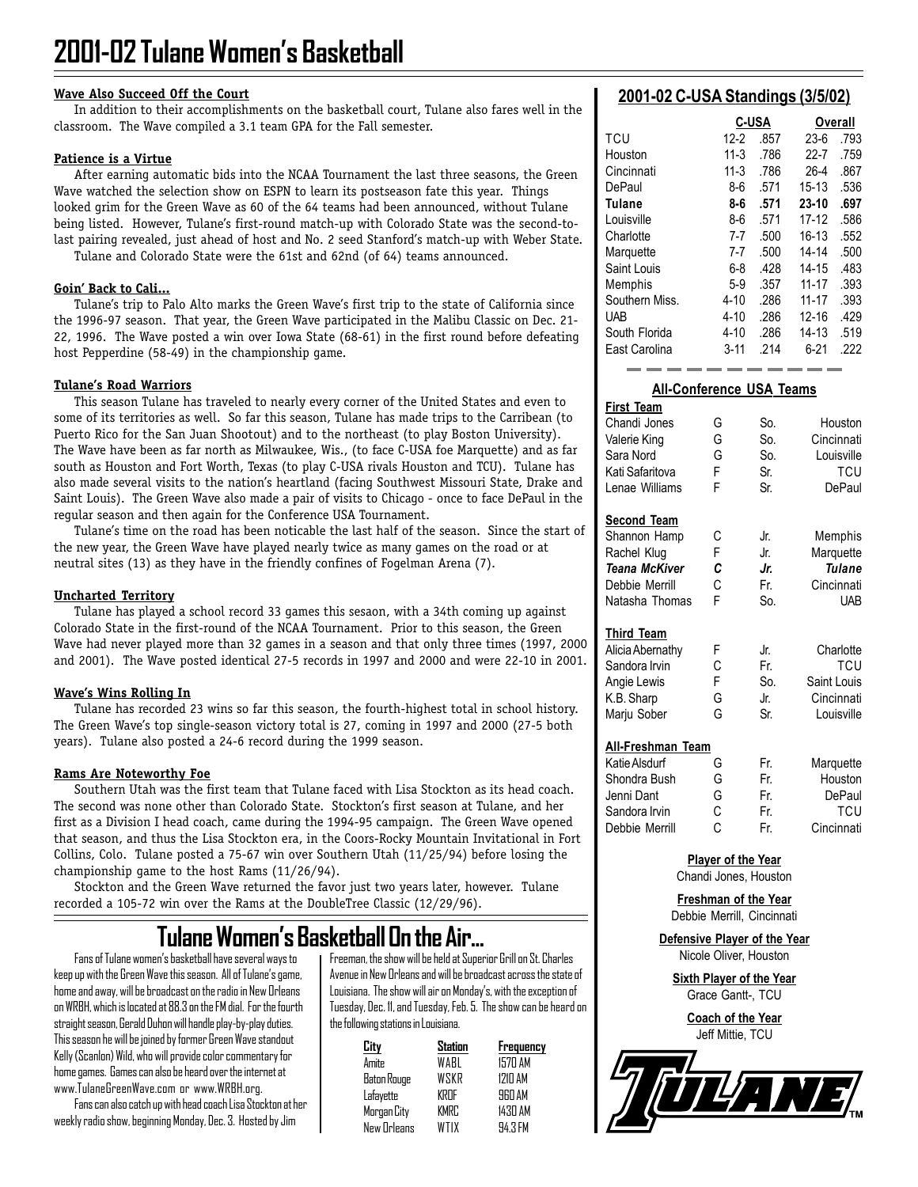#### **Wave Also Succeed Off the Court**

In addition to their accomplishments on the basketball court, Tulane also fares well in the classroom. The Wave compiled a 3.1 team GPA for the Fall semester.

#### **Patience is a Virtue**

After earning automatic bids into the NCAA Tournament the last three seasons, the Green Wave watched the selection show on ESPN to learn its postseason fate this year. Things looked grim for the Green Wave as 60 of the 64 teams had been announced, without Tulane being listed. However, Tulane's first-round match-up with Colorado State was the second-tolast pairing revealed, just ahead of host and No. 2 seed Stanford's match-up with Weber State.

Tulane and Colorado State were the 61st and 62nd (of 64) teams announced.

#### **Goin' Back to Cali...**

Tulane's trip to Palo Alto marks the Green Wave's first trip to the state of California since the 1996-97 season. That year, the Green Wave participated in the Malibu Classic on Dec. 21- 22, 1996. The Wave posted a win over Iowa State (68-61) in the first round before defeating host Pepperdine (58-49) in the championship game.

#### **Tulane's Road Warriors**

This season Tulane has traveled to nearly every corner of the United States and even to some of its territories as well. So far this season, Tulane has made trips to the Carribean (to Puerto Rico for the San Juan Shootout) and to the northeast (to play Boston University). The Wave have been as far north as Milwaukee, Wis., (to face C-USA foe Marquette) and as far south as Houston and Fort Worth, Texas (to play C-USA rivals Houston and TCU). Tulane has also made several visits to the nation's heartland (facing Southwest Missouri State, Drake and Saint Louis). The Green Wave also made a pair of visits to Chicago - once to face DePaul in the regular season and then again for the Conference USA Tournament.

Tulane's time on the road has been noticable the last half of the season. Since the start of the new year, the Green Wave have played nearly twice as many games on the road or at neutral sites (13) as they have in the friendly confines of Fogelman Arena (7).

#### **Uncharted Territory**

Tulane has played a school record 33 games this sesaon, with a 34th coming up against Colorado State in the first-round of the NCAA Tournament. Prior to this season, the Green Wave had never played more than 32 games in a season and that only three times (1997, 2000 and 2001). The Wave posted identical 27-5 records in 1997 and 2000 and were 22-10 in 2001.

#### **Wave's Wins Rolling In**

Tulane has recorded 23 wins so far this season, the fourth-highest total in school history. The Green Wave's top single-season victory total is 27, coming in 1997 and 2000 (27-5 both years). Tulane also posted a 24-6 record during the 1999 season.

#### **Rams Are Noteworthy Foe**

Southern Utah was the first team that Tulane faced with Lisa Stockton as its head coach. The second was none other than Colorado State. Stockton's first season at Tulane, and her first as a Division I head coach, came during the 1994-95 campaign. The Green Wave opened that season, and thus the Lisa Stockton era, in the Coors-Rocky Mountain Invitational in Fort Collins, Colo. Tulane posted a 75-67 win over Southern Utah (11/25/94) before losing the championship game to the host Rams (11/26/94).

Stockton and the Green Wave returned the favor just two years later, however. Tulane recorded a 105-72 win over the Rams at the DoubleTree Classic (12/29/96).

# **Tulane Women's Basketball On the Air...**

Fans of Tulane women's basketball have several ways to keep up with the Green Wave this season. All of Tulane's game, home and away, will be broadcast on the radio in New Orleans on WRBH, which is located at 88.3 on the FM dial. For the fourth straight season, Gerald Duhon will handle play-by-play duties. This season he will be joined by former Green Wave standout Kelly (Scanlon) Wild, who will provide color commentary for home games. Games can also be heard over the internet at www.TulaneGreenWave.com or www.WRBH.org.

Fans can also catch up with head coach Lisa Stockton at her weekly radio show, beginning Monday, Dec. 3. Hosted by Jim

Freeman, the show will be held at Superior Grill on St. Charles Avenue in New Orleans and will be broadcast across the state of Louisiana. The show will air on Monday's, with the exception of Tuesday, Dec. 11, and Tuesday, Feb. 5. The show can be heard on the following stations in Louisiana.

| City        | Station     | Frequency      |
|-------------|-------------|----------------|
| Amite       | WABL        | 1570 AM        |
| Baton Rouge | <b>WSKR</b> | <b>1710 AM</b> |
| Lafayette   | KRNF        | <b>ARN AM</b>  |
| Morgan City | KMRC        | 1430 AM        |
| New Orleans | WTIX        | 94.3 FM        |

#### **2001-02 C-USA Standings (3/5/02)**

|                |          | <b>C-USA</b> | Overall   |      |  |
|----------------|----------|--------------|-----------|------|--|
| TCU            | $12-2$   | .857         | $23-6$    | .793 |  |
| Houston        | $11-3$   | .786         | $22 - 7$  | .759 |  |
| Cincinnati     | $11-3$   | .786         | $26 - 4$  | .867 |  |
| DePaul         | 8-6      | .571         | $15 - 13$ | .536 |  |
| <b>Tulane</b>  | 8-6      | .571         | 23-10     | .697 |  |
| Louisville     | 8-6      | .571         | 17-12     | .586 |  |
| Charlotte      | 7-7      | .500         | $16 - 13$ | .552 |  |
| Marquette      | 7-7      | .500         | 14-14     | .500 |  |
| Saint Louis    | $6 - 8$  | .428         | $14 - 15$ | .483 |  |
| Memphis        | $5-9$    | .357         | $11 - 17$ | .393 |  |
| Southern Miss. | $4 - 10$ | .286         | $11 - 17$ | .393 |  |
| <b>UAB</b>     | $4 - 10$ | .286         | $12 - 16$ | .429 |  |
| South Florida  | $4 - 10$ | .286         | $14 - 13$ | .519 |  |
| East Carolina  | 3-11     | .214         | 6-21      | .222 |  |

#### **All-Conference USA Teams First Team** Chandi Jones G So. Houston Valerie King G So. Cincinnati Sara Nord G So. Louisville Kati Safaritova F Sr. TCU Lenae Williams F Sr. DePaul **Second Team** Shannon Hamp C Jr. Memphis Rachel Klug F Jr. Marquette<br> **Teana McKiver C Jr. Tulane** *Teana McKiver C Jr. Tulane* Debbie Merrill C Fr. Cincinnati Natasha Thomas F So. UAB **Third Team**

| Alicia Abernathy |   | Jr. | Charlotte   |
|------------------|---|-----|-------------|
| Sandora Irvin    | C | Fr. | TCU         |
| Angie Lewis      | F | So. | Saint Louis |
| K.B. Sharp       | G | Jr. | Cincinnati  |
| Mariu Sober      | G | Sr. | Louisville  |
|                  |   |     |             |

#### **All-Freshman Team**

| Katie Alsdurf  | G  | Fr. | Marquette  |
|----------------|----|-----|------------|
| Shondra Bush   | G  | Fr. | Houston    |
| Jenni Dant     | G  | Fr. | DePaul     |
| Sandora Irvin  | C. | Fr. | TCU        |
| Debbie Merrill | C. | Fr. | Cincinnati |

**Player of the Year**

Chandi Jones, Houston

**Freshman of the Year** Debbie Merrill, Cincinnati

**Defensive Player of the Year** Nicole Oliver, Houston

**Sixth Player of the Year** Grace Gantt-, TCU

> **Coach of the Year** Jeff Mittie, TCU

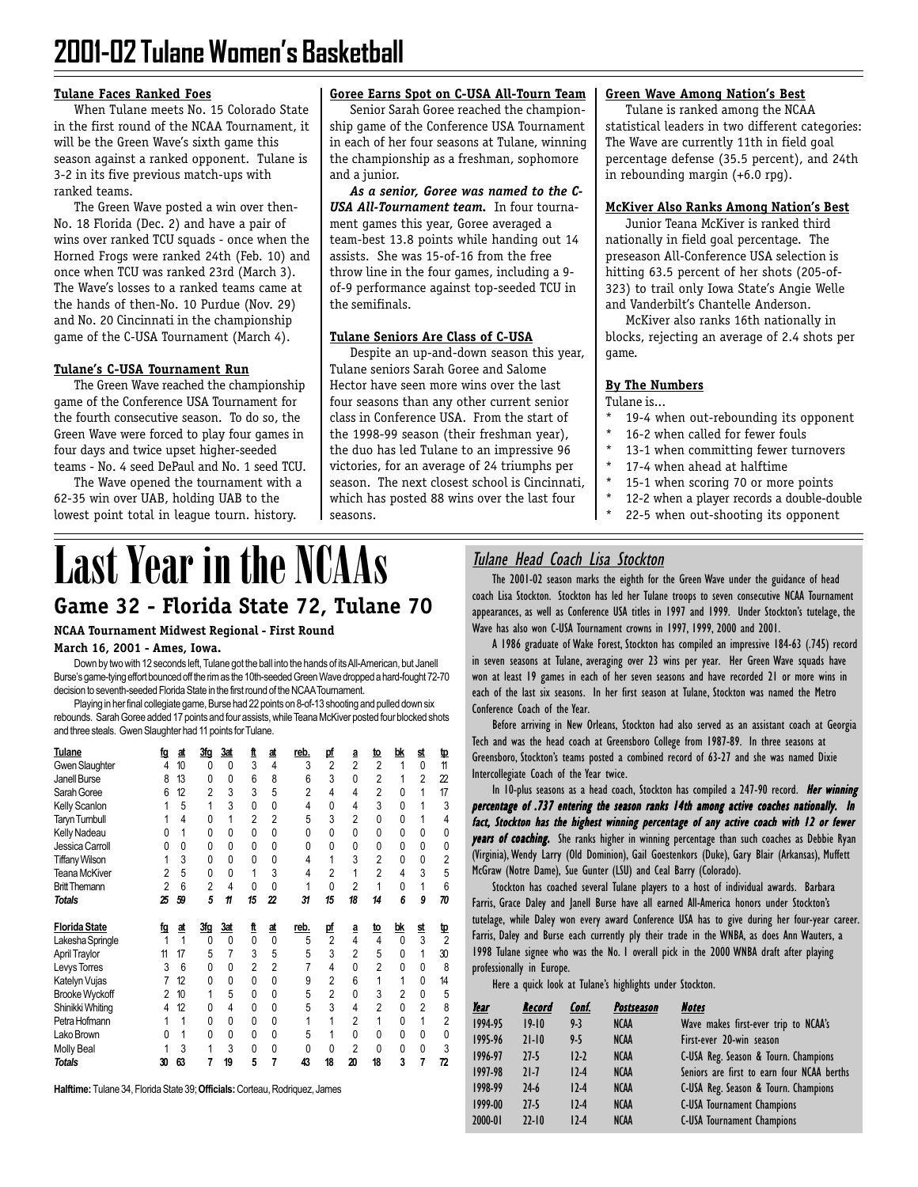# **2001-02 Tulane Women's Basketball**

#### **Tulane Faces Ranked Foes**

When Tulane meets No. 15 Colorado State in the first round of the NCAA Tournament, it will be the Green Wave's sixth game this season against a ranked opponent. Tulane is 3-2 in its five previous match-ups with ranked teams.

The Green Wave posted a win over then-No. 18 Florida (Dec. 2) and have a pair of wins over ranked TCU squads - once when the Horned Frogs were ranked 24th (Feb. 10) and once when TCU was ranked 23rd (March 3). The Wave's losses to a ranked teams came at the hands of then-No. 10 Purdue (Nov. 29) and No. 20 Cincinnati in the championship game of the C-USA Tournament (March 4).

#### **Tulane's C-USA Tournament Run**

The Green Wave reached the championship game of the Conference USA Tournament for the fourth consecutive season. To do so, the Green Wave were forced to play four games in four days and twice upset higher-seeded teams - No. 4 seed DePaul and No. 1 seed TCU.

The Wave opened the tournament with a 62-35 win over UAB, holding UAB to the lowest point total in league tourn. history.

#### **Goree Earns Spot on C-USA All-Tourn Team**

Senior Sarah Goree reached the championship game of the Conference USA Tournament in each of her four seasons at Tulane, winning the championship as a freshman, sophomore and a junior.

*As a senior, Goree was named to the C-USA All-Tournament team.* In four tournament games this year, Goree averaged a team-best 13.8 points while handing out 14 assists. She was 15-of-16 from the free throw line in the four games, including a 9 of-9 performance against top-seeded TCU in the semifinals.

#### **Tulane Seniors Are Class of C-USA**

Despite an up-and-down season this year, Tulane seniors Sarah Goree and Salome Hector have seen more wins over the last four seasons than any other current senior class in Conference USA. From the start of the 1998-99 season (their freshman year), the duo has led Tulane to an impressive 96 victories, for an average of 24 triumphs per season. The next closest school is Cincinnati, which has posted 88 wins over the last four seasons.

#### **Green Wave Among Nation's Best**

Tulane is ranked among the NCAA statistical leaders in two different categories: The Wave are currently 11th in field goal percentage defense (35.5 percent), and 24th in rebounding margin (+6.0 rpg).

#### **McKiver Also Ranks Among Nation's Best**

Junior Teana McKiver is ranked third nationally in field goal percentage. The preseason All-Conference USA selection is hitting 63.5 percent of her shots (205-of-323) to trail only Iowa State's Angie Welle and Vanderbilt's Chantelle Anderson.

McKiver also ranks 16th nationally in blocks, rejecting an average of 2.4 shots per game.

#### **By The Numbers**

Tulane is...

- 19-4 when out-rebounding its opponent
- 16-2 when called for fewer fouls
- 13-1 when committing fewer turnovers
- 17-4 when ahead at halftime
- 15-1 when scoring 70 or more points
- 12-2 when a player records a double-double
- 22-5 when out-shooting its opponent

# **Game 32 - Florida State 72, Tulane 70 Last Year in the NCAAs**

#### **NCAA Tournament Midwest Regional - First Round**

#### **March 16, 2001 - Ames, Iowa.**

Down by two with 12 seconds left, Tulane got the ball into the hands of its All-American, but Janell Burse's game-tying effort bounced off the rim as the 10th-seeded Green Wave dropped a hard-fought 72-70 decision to seventh-seeded Florida State in the first round of the NCAA Tournament.

Playing in her final collegiate game, Burse had 22 points on 8-of-13 shooting and pulled down six rebounds. Sarah Goree added 17 points and four assists, while Teana McKiver posted four blocked shots and three steals. Gwen Slaughter had 11 points for Tulane.

| Tulane                                   | ta | <u>at</u> | 3fq            | <u>3at</u>   | ft             | <u>at</u>      | reb.           | рf                   | ₫              | <u>to</u>      | bk             | <u>st</u>      | tp                  |
|------------------------------------------|----|-----------|----------------|--------------|----------------|----------------|----------------|----------------------|----------------|----------------|----------------|----------------|---------------------|
| Gwen Slaughter                           | 4  | 10        | 0              | 0            | 3              | $\overline{4}$ | 3              | $\overline{2}$       | $\overline{2}$ | $\overline{2}$ |                | 0              | 11                  |
| Janell Burse                             | 8  | 13        | 0              | 0            | 6              | 8              | 6              | 3                    | 0              | $\overline{2}$ |                | $\overline{2}$ | 22                  |
| Sarah Goree                              | 6  | 12        | $\overline{2}$ | 3            | 3              | 5              | $\overline{2}$ | 4                    | 4              | $\overline{2}$ | 0              | 1              | 17                  |
| Kelly Scanlon                            |    | 5         |                | 3            | $\Omega$       | $\Omega$       | 4              | 0                    | 4              | 3              | $\Omega$       |                | 3                   |
| <b>Taryn Turnbull</b>                    |    | 4         | 0              | 1            | $\mathfrak{p}$ | $\mathfrak{p}$ | 5              | 3                    | $\overline{2}$ | $\Omega$       | 0              |                | 4                   |
| Kelly Nadeau                             | n  | 1         | 0              | $\Omega$     | $\Omega$       | $\Omega$       | $\Omega$       | 0                    | 0              | $\Omega$       | $\Omega$       | 0              | 0                   |
| Jessica Carroll                          | N  | 0         | 0              | 0            | 0              | 0              | 0              | 0                    | 0              | 0              | 0              | 0              | 0                   |
| <b>Tiffany Wilson</b>                    |    | 3         | $\Omega$       | 0            | 0              | $\Omega$       | 4              | 1                    | 3              | $\overline{2}$ | U              | $\Omega$       | 2                   |
| Teana McKiver                            | 2  | 5         | 0              | 0            | 1              | 3              | 4              | $\overline{2}$       |                | $\overline{2}$ | 4              | 3              | 5                   |
| <b>Britt Themann</b>                     | 2  | 6         | $\overline{2}$ | 4            | 0              | $\Omega$       | 1              | 0                    | $\overline{2}$ |                | 0              |                | 6                   |
| <b>Totals</b>                            | 25 | 59        | 5              | 11           | 15             | 22             | 31             | 15                   | 18             | 14             | 6              | 9              | 70                  |
|                                          |    |           |                |              |                |                |                |                      |                |                |                |                |                     |
| <b>Florida State</b>                     | ₫₫ | <u>at</u> | 3fg            | <u>3at</u>   | ft             | <u>at</u>      | reb.           |                      | ₫              | <u>to</u>      | bk             | <u>st</u>      |                     |
|                                          |    | 1         | 0              | 0            | $\Omega$       | $\Omega$       | 5              | pf<br>$\overline{2}$ | 4              | $\overline{4}$ | $\Omega$       | 3              | Ф<br>$\mathfrak{p}$ |
| Lakesha Springle<br><b>April Traylor</b> | 11 | 17        | 5              | 7            | 3              | 5              | 5              | 3                    | $\overline{2}$ | 5              | N              |                | 30                  |
| Levys Torres                             | 3  | 6         | 0              | $\Omega$     | $\overline{2}$ | $\overline{2}$ | 7              | 4                    | 0              | $\overline{2}$ | $\Omega$       | 0              | 8                   |
| Katelyn Vujas                            |    | 12        | 0              | 0            | $\Omega$       | $\Omega$       | 9              | $\overline{2}$       | 6              | 1              |                | $\Omega$       | 14                  |
| <b>Brooke Wyckoff</b>                    | 2  | 10        | 1              | 5            | 0              | $\Omega$       | 5              | $\overline{2}$       | 0              | 3              | $\overline{2}$ | 0              | 5                   |
| Shinikki Whiting                         | 4  | 12        | 0              | 4            | 0              | $\Omega$       | 5              | 3                    | 4              | $\overline{2}$ |                | $\overline{2}$ | 8                   |
| Petra Hofmann                            |    | 1         | 0              | $\mathbf{0}$ | 0              | 0              | 1              | 1                    | $\overline{2}$ | 1              | $\Omega$       |                | $\overline{2}$      |
| Lako Brown                               | 0  | 1         | 0              | 0            | 0              | $\Omega$       | 5              | 1                    | 0              | 0              | 0              | 0              | $\Omega$            |
| Molly Beal                               |    | 3         |                | 3            | 0              | $\mathbf{0}$   | 0              | 0                    | 2              | $\Omega$       | 0              | 0              | 3                   |

**Halftime:** Tulane 34, Florida State 39; **Officials:** Corteau, Rodriquez, James

## Tulane Head Coach Lisa Stockton

The 2001-02 season marks the eighth for the Green Wave under the guidance of head coach Lisa Stockton. Stockton has led her Tulane troops to seven consecutive NCAA Tournament appearances, as well as Conference USA titles in 1997 and 1999. Under Stockton's tutelage, the Wave has also won C-USA Tournament crowns in 1997, 1999, 2000 and 2001.

A 1986 graduate of Wake Forest, Stockton has compiled an impressive 184-63 (.745) record in seven seasons at Tulane, averaging over 23 wins per year. Her Green Wave squads have won at least 19 games in each of her seven seasons and have recorded 21 or more wins in each of the last six seasons. In her first season at Tulane, Stockton was named the Metro Conference Coach of the Year.

Before arriving in New Orleans, Stockton had also served as an assistant coach at Georgia Tech and was the head coach at Greensboro College from 1987-89. In three seasons at Greensboro, Stockton's teams posted a combined record of 63-27 and she was named Dixie Intercollegiate Coach of the Year twice.

In 10-plus seasons as a head coach, Stockton has compiled a 247-90 record. Her winning percentage of .737 entering the season ranks 14th among active coaches nationally. In fact, Stockton has the highest winning percentage of any active coach with 12 or fewer years of coaching. She ranks higher in winning percentage than such coaches as Debbie Ryan (Virginia), Wendy Larry (Old Dominion), Gail Goestenkors (Duke), Gary Blair (Arkansas), Muffett McGraw (Notre Dame), Sue Gunter (LSU) and Ceal Barry (Colorado).

Stockton has coached several Tulane players to a host of individual awards. Barbara Farris, Grace Daley and Janell Burse have all earned All-America honors under Stockton's tutelage, while Daley won every award Conference USA has to give during her four-year career. Farris, Daley and Burse each currently ply their trade in the WNBA, as does Ann Wauters, a 1998 Tulane signee who was the No. 1 overall pick in the 2000 WNBA draft after playing professionally in Europe.

Here a quick look at Tulane's highlights under Stockton.

| Year    | Record    | Conf.   | <b>Postseason</b> | <b>Notes</b>                               |
|---------|-----------|---------|-------------------|--------------------------------------------|
| 1994-95 | $19-10$   | $9-3$   | <b>NCAA</b>       | Wave makes first-ever trip to NCAA's       |
| 1995-96 | $21 - 10$ | $9 - 5$ | <b>NCAA</b>       | First-ever 20-win season                   |
| 1996-97 | $27-5$    | $12-2$  | <b>NCAA</b>       | C-USA Reg. Season & Tourn. Champions       |
| 1997-98 | $71 - 7$  | $12-4$  | <b>NCAA</b>       | Seniors are first to earn four NCAA berths |
| 1998-99 | $24-6$    | $12-4$  | <b>NCAA</b>       | C-USA Reg. Season & Tourn. Champions       |
| 1999-00 | $27-5$    | $12-4$  | <b>NCAA</b>       | <b>C-USA Tournament Champions</b>          |
| 2000-01 | $22 - 10$ | $12-4$  | <b>NCAA</b>       | <b>C-USA Tournament Champions</b>          |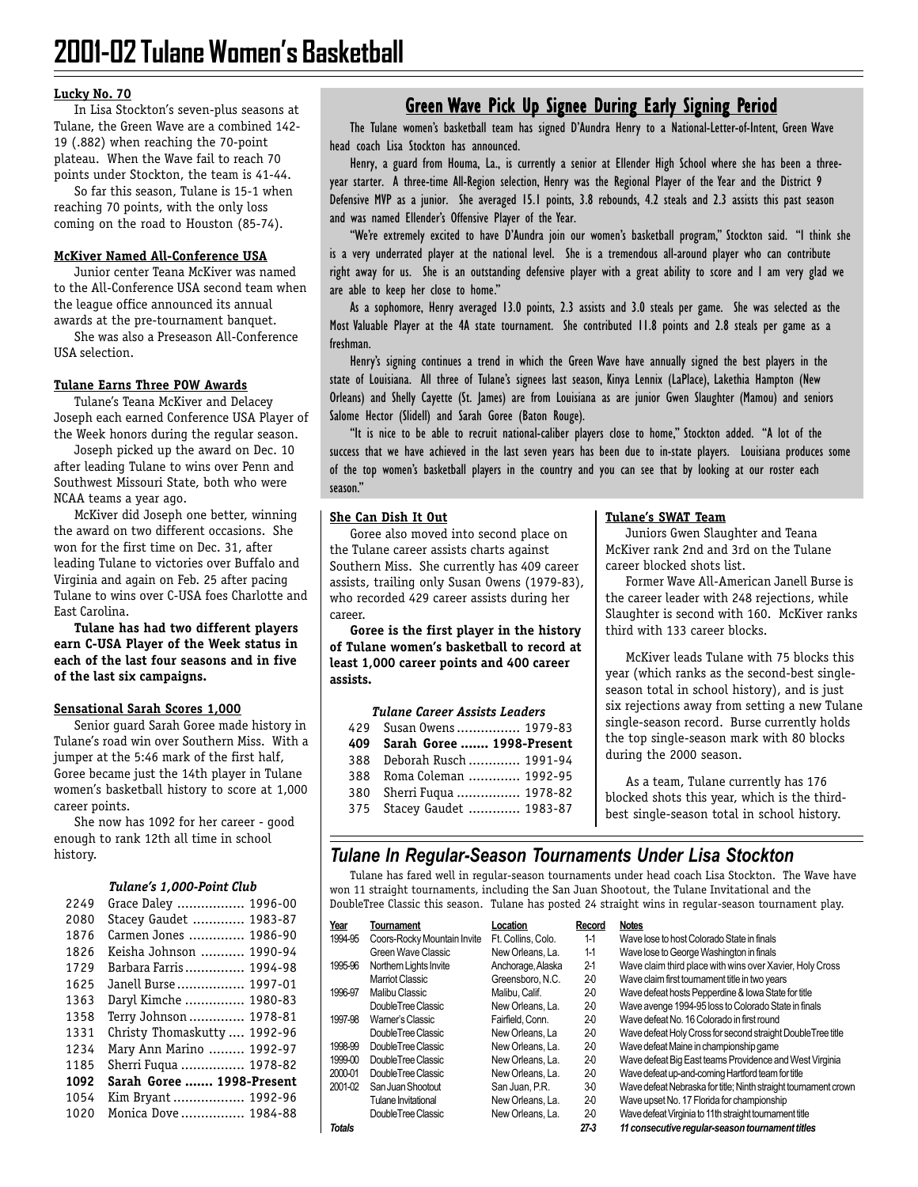#### **Lucky No. 70**

In Lisa Stockton's seven-plus seasons at Tulane, the Green Wave are a combined 142- 19 (.882) when reaching the 70-point plateau. When the Wave fail to reach 70 points under Stockton, the team is 41-44.

So far this season, Tulane is 15-1 when reaching 70 points, with the only loss coming on the road to Houston (85-74).

#### **McKiver Named All-Conference USA**

Junior center Teana McKiver was named to the All-Conference USA second team when the league office announced its annual awards at the pre-tournament banquet.

She was also a Preseason All-Conference USA selection.

#### **Tulane Earns Three POW Awards**

Tulane's Teana McKiver and Delacey Joseph each earned Conference USA Player of the Week honors during the regular season.

Joseph picked up the award on Dec. 10 after leading Tulane to wins over Penn and Southwest Missouri State, both who were NCAA teams a year ago.

McKiver did Joseph one better, winning the award on two different occasions. She won for the first time on Dec. 31, after leading Tulane to victories over Buffalo and Virginia and again on Feb. 25 after pacing Tulane to wins over C-USA foes Charlotte and East Carolina.

**Tulane has had two different players earn C-USA Player of the Week status in each of the last four seasons and in five of the last six campaigns.**

#### **Sensational Sarah Scores 1,000**

Senior guard Sarah Goree made history in Tulane's road win over Southern Miss. With a jumper at the 5:46 mark of the first half, Goree became just the 14th player in Tulane women's basketball history to score at 1,000 career points.

She now has 1092 for her career - good enough to rank 12th all time in school history.

#### *Tulane's 1,000-Point Club*

| 2249 | 1996-00<br>Grace Daley         |
|------|--------------------------------|
| 2080 | Stacey Gaudet  1983-87         |
| 1876 | Carmen Jones<br>1986-90        |
| 1826 | 1990-94<br>Keisha Johnson      |
| 1729 | 1994-98<br>Barbara Farris      |
| 1625 | 1997-01<br>Janell Burse        |
| 1363 | 1980-83<br>Daryl Kimche        |
| 1358 | Terry Johnson  1978-81         |
| 1331 | Christy Thomaskutty<br>1992-96 |
| 1234 | Mary Ann Marino  1992-97       |
| 1185 | Sherri Fuqua  1978-82          |
| 1092 | Sarah Goree  1998-Present      |
| 1054 | Kim Bryant  1992-96            |
| 1020 | Monica Dove  1984-88           |
|      |                                |

#### Green Wave Pick Up Signee During Early Signing Period

The Tulane women's basketball team has signed D'Aundra Henry to a National-Letter-of-Intent, Green Wave head coach Lisa Stockton has announced.

Henry, a guard from Houma, La., is currently a senior at Ellender High School where she has been a threeyear starter. A three-time All-Region selection, Henry was the Regional Player of the Year and the District 9 Defensive MVP as a junior. She averaged 15.1 points, 3.8 rebounds, 4.2 steals and 2.3 assists this past season and was named Ellender's Offensive Player of the Year.

"We're extremely excited to have D'Aundra join our women's basketball program," Stockton said. "I think she is a very underrated player at the national level. She is a tremendous all-around player who can contribute right away for us. She is an outstanding defensive player with a great ability to score and I am very glad we are able to keep her close to home."

As a sophomore, Henry averaged 13.0 points, 2.3 assists and 3.0 steals per game. She was selected as the Most Valuable Player at the 4A state tournament. She contributed 11.8 points and 2.8 steals per game as a freshman.

Henry's signing continues a trend in which the Green Wave have annually signed the best players in the state of Louisiana. All three of Tulane's signees last season, Kinya Lennix (LaPlace), Lakethia Hampton (New Orleans) and Shelly Cayette (St. James) are from Louisiana as are junior Gwen Slaughter (Mamou) and seniors Salome Hector (Slidell) and Sarah Goree (Baton Rouge).

"It is nice to be able to recruit national-caliber players close to home," Stockton added. "A lot of the success that we have achieved in the last seven years has been due to in-state players. Louisiana produces some of the top women's basketball players in the country and you can see that by looking at our roster each season."

#### **She Can Dish It Out**

Goree also moved into second place on the Tulane career assists charts against Southern Miss. She currently has 409 career assists, trailing only Susan Owens (1979-83), who recorded 429 career assists during her career.

**Goree is the first player in the history of Tulane women's basketball to record at least 1,000 career points and 400 career assists.**

| 429 Susan Owens 1979-83       |  |
|-------------------------------|--|
| 409 Sarah Goree  1998-Present |  |
| 388 Deborah Rusch  1991-94    |  |
| 388 Roma Coleman  1992-95     |  |
| 380 Sherri Fuqua  1978-82     |  |
| 375 Stacey Gaudet  1983-87    |  |

#### **Tulane's SWAT Team**

Juniors Gwen Slaughter and Teana McKiver rank 2nd and 3rd on the Tulane career blocked shots list.

Former Wave All-American Janell Burse is the career leader with 248 rejections, while Slaughter is second with 160. McKiver ranks third with 133 career blocks.

McKiver leads Tulane with 75 blocks this year (which ranks as the second-best singleseason total in school history), and is just six rejections away from setting a new Tulane single-season record. Burse currently holds the top single-season mark with 80 blocks during the 2000 season.

As a team, Tulane currently has 176 blocked shots this year, which is the thirdbest single-season total in school history.

#### *Tulane In Regular-Season Tournaments Under Lisa Stockton*

Tulane has fared well in regular-season tournaments under head coach Lisa Stockton. The Wave have won 11 straight tournaments, including the San Juan Shootout, the Tulane Invitational and the DoubleTree Classic this season. Tulane has posted 24 straight wins in regular-season tournament play.

| Year          | Tournament                  | Location           | Record  | <b>Notes</b>                                                    |
|---------------|-----------------------------|--------------------|---------|-----------------------------------------------------------------|
| 1994-95       | Coors-Rocky Mountain Invite | Ft. Collins. Colo. | $1-1$   | Wave lose to host Colorado State in finals                      |
|               | Green Wave Classic          | New Orleans, La.   | $1-1$   | Wave lose to George Washington in finals                        |
| 1995-96       | Northern Lights Invite      | Anchorage, Alaska  | $2 - 1$ | Wave claim third place with wins over Xavier, Holy Cross        |
|               | Marriot Classic             | Greensboro, N.C.   | $2-0$   | Wave claim first tournament title in two years                  |
| 1996-97       | Malibu Classic              | Malibu, Calif.     | 20      | Wave defeat hosts Pepperdine & Iowa State for title             |
|               | DoubleTree Classic          | New Orleans, La.   | 20      | Wave avenge 1994-95 loss to Colorado State in finals            |
| 1997-98       | Warner's Classic            | Fairfield. Conn.   | 20      | Wave defeat No. 16 Colorado in first round                      |
|               | DoubleTree Classic          | New Orleans, La    | 20      | Wave defeat Holy Cross for second straight DoubleTree title     |
| 1998-99       | DoubleTree Classic          | New Orleans, La.   | 20      | Wave defeat Maine in championship game                          |
| 1999-00       | DoubleTree Classic          | New Orleans, La.   | 20      | Wave defeat Big East teams Providence and West Virginia         |
| 2000-01       | DoubleTree Classic          | New Orleans, La.   | 20      | Wave defeat up-and-coming Hartford team for title               |
| 2001-02       | San Juan Shootout           | San Juan, P.R.     | 30      | Wave defeat Nebraska for title; Ninth straight tournament crown |
|               | Tulane Invitational         | New Orleans, La.   | 20      | Wave upset No. 17 Florida for championship                      |
|               | DoubleTree Classic          | New Orleans, La.   | 20      | Wave defeat Virginia to 11th straight tournament title          |
| <b>Totals</b> |                             |                    | $27-3$  | 11 consecutive regular-season tournament titles                 |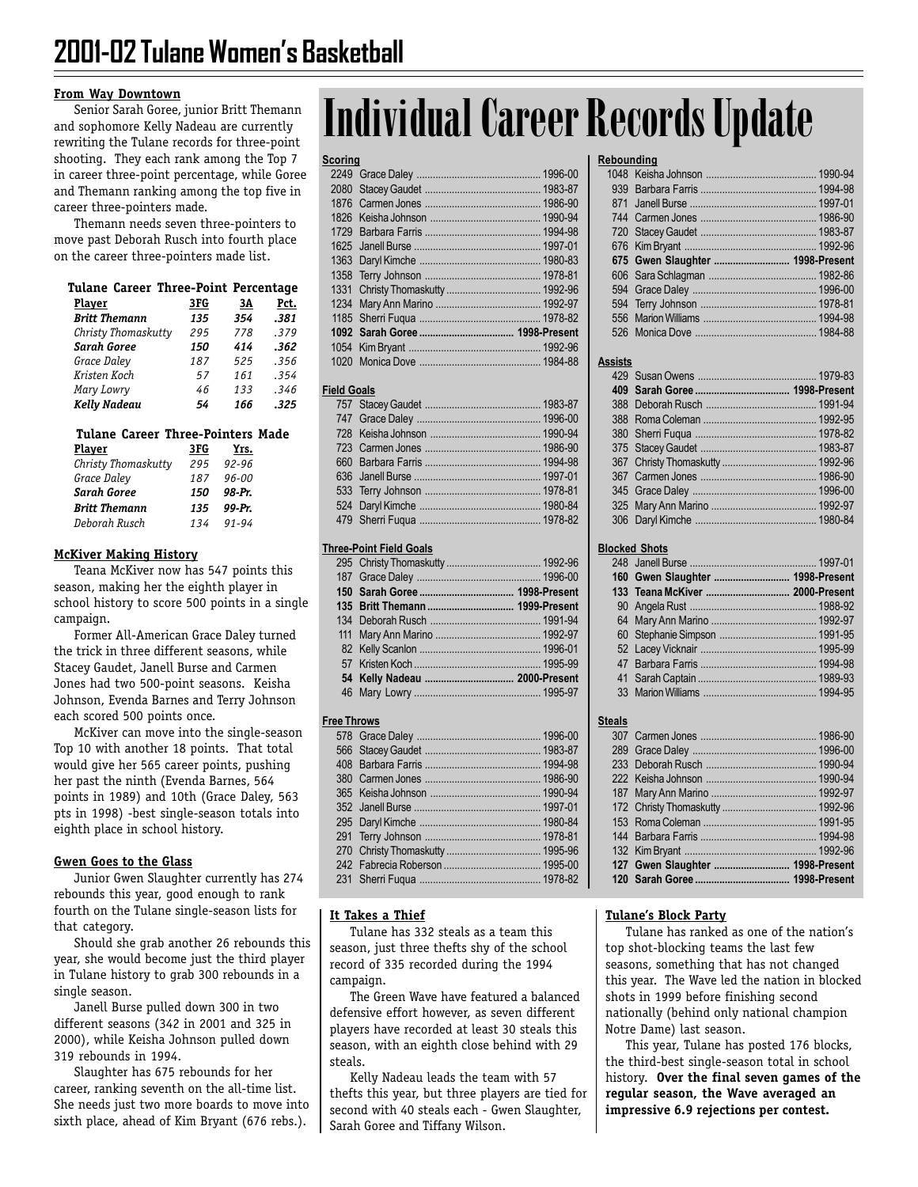#### **From Way Downtown**

Senior Sarah Goree, junior Britt Themann and sophomore Kelly Nadeau are currently rewriting the Tulane records for three-point shooting. They each rank among the Top 7 in career three-point percentage, while Goree and Themann ranking among the top five in career three-pointers made.

Themann needs seven three-pointers to move past Deborah Rusch into fourth place on the career three-pointers made list.

## **Tulane Career Three-Point Percentage**

| <b>Player</b>        | 3FG | 3Α  | Pct. |
|----------------------|-----|-----|------|
| <b>Britt Themann</b> | 135 | 354 | .381 |
| Christy Thomaskutty  | 295 | 778 | .379 |
| <b>Sarah Goree</b>   | 150 | 414 | .362 |
| Grace Daley          | 187 | 525 | .356 |
| Kristen Koch         | 57  | 161 | .354 |
| Mary Lowry           | 46  | 133 | .346 |
| Kelly Nadeau         | 54  | 166 | .325 |

#### **Tulane Career Three-Pointers Made**

| <u>Player</u>        | 3FG | Yrs.      |
|----------------------|-----|-----------|
| Christy Thomaskutty  | 295 | $92 - 96$ |
| Grace Daley          | 187 | $96 - 00$ |
| <b>Sarah Goree</b>   | 150 | 98-Pr.    |
| <b>Britt Themann</b> | 135 | 99-Pr.    |
| Deborah Rusch        | 134 | $91 - 94$ |

#### **McKiver Making History**

Teana McKiver now has 547 points this season, making her the eighth player in school history to score 500 points in a single campaign.

Former All-American Grace Daley turned the trick in three different seasons, while Stacey Gaudet, Janell Burse and Carmen Jones had two 500-point seasons. Keisha Johnson, Evenda Barnes and Terry Johnson each scored 500 points once.

McKiver can move into the single-season Top 10 with another 18 points. That total would give her 565 career points, pushing her past the ninth (Evenda Barnes, 564 points in 1989) and 10th (Grace Daley, 563 pts in 1998) -best single-season totals into eighth place in school history.

#### **Gwen Goes to the Glass**

Junior Gwen Slaughter currently has 274 rebounds this year, good enough to rank fourth on the Tulane single-season lists for that category.

Should she grab another 26 rebounds this year, she would become just the third player in Tulane history to grab 300 rebounds in a single season.

Janell Burse pulled down 300 in two different seasons (342 in 2001 and 325 in 2000), while Keisha Johnson pulled down 319 rebounds in 1994.

Slaughter has 675 rebounds for her career, ranking seventh on the all-time list. She needs just two more boards to move into sixth place, ahead of Kim Bryant (676 rebs.).

# **Individual Career Records Update**

#### **Scoring**

#### **Field Goals**

#### **Three-Point Field Goals**

#### **Free Throws**

| טוווויט |  |
|---------|--|
|         |  |
|         |  |
|         |  |
|         |  |
|         |  |
|         |  |
|         |  |
|         |  |
|         |  |
|         |  |
|         |  |

#### **It Takes a Thief**

Tulane has 332 steals as a team this season, just three thefts shy of the school record of 335 recorded during the 1994 campaign.

The Green Wave have featured a balanced defensive effort however, as seven different players have recorded at least 30 steals this season, with an eighth close behind with 29 steals.

Kelly Nadeau leads the team with 57 thefts this year, but three players are tied for second with 40 steals each - Gwen Slaughter, Sarah Goree and Tiffany Wilson.

#### **Rebounding**

#### **Assists**

#### **Blocked Shots**

#### **Steals**

| 127 Gwen Slaughter  1998-Present |  |
|----------------------------------|--|
|                                  |  |

#### **Tulane's Block Party**

Tulane has ranked as one of the nation's top shot-blocking teams the last few seasons, something that has not changed this year. The Wave led the nation in blocked shots in 1999 before finishing second nationally (behind only national champion Notre Dame) last season.

This year, Tulane has posted 176 blocks, the third-best single-season total in school history. **Over the final seven games of the regular season, the Wave averaged an impressive 6.9 rejections per contest.**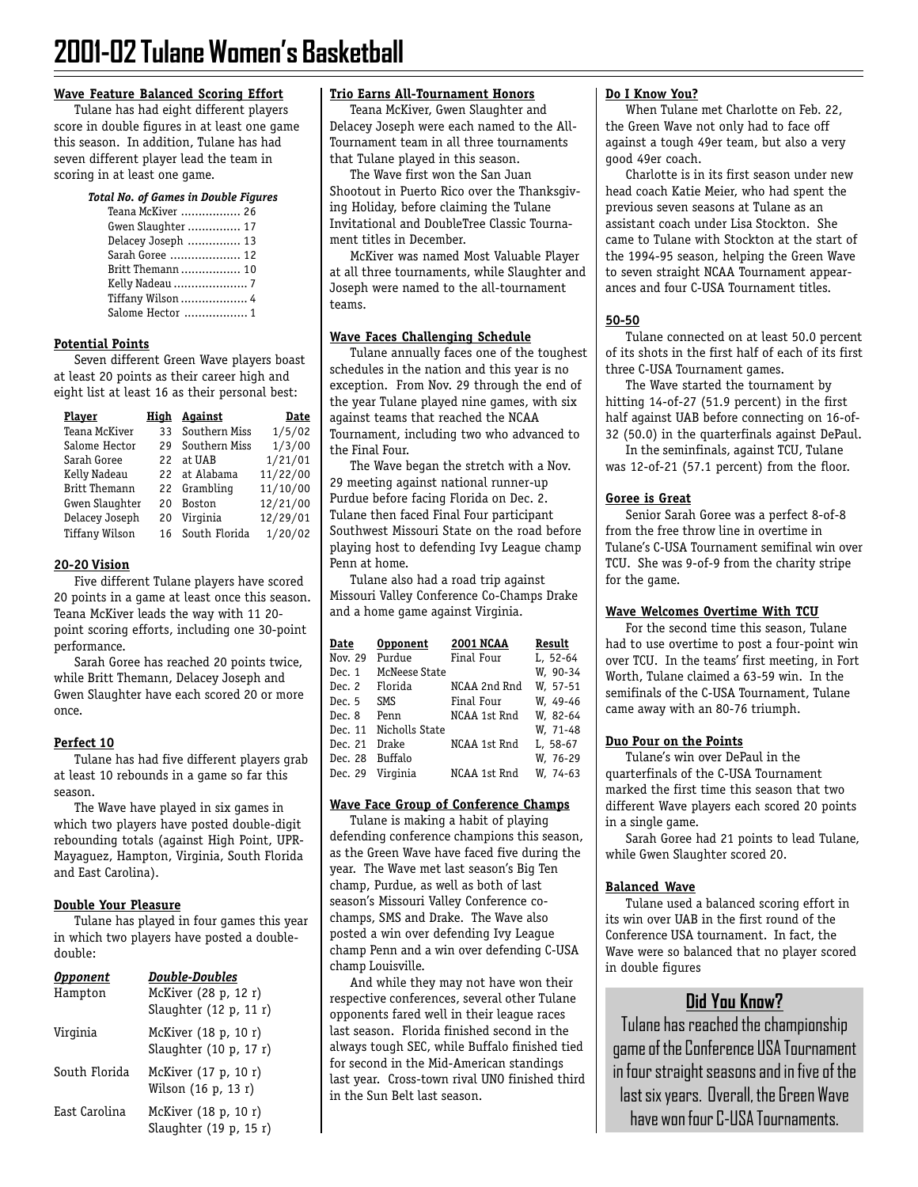#### **Wave Feature Balanced Scoring Effort**

Tulane has had eight different players score in double figures in at least one game this season. In addition, Tulane has had seven different player lead the team in scoring in at least one game.

#### *Total No. of Games in Double Figures*

| Teana McKiver  26  |  |
|--------------------|--|
| Gwen Slaughter  17 |  |
| Delacey Joseph  13 |  |
| Sarah Goree  12    |  |
| Britt Themann  10  |  |
|                    |  |
| Tiffany Wilson  4  |  |
| Salome Hector  1   |  |

#### **Potential Points**

Seven different Green Wave players boast at least 20 points as their career high and eight list at least 16 as their personal best:

| Player               | Hiah | Against       | Date     |
|----------------------|------|---------------|----------|
| Teana McKiver        | 33   | Southern Miss | 1/5/02   |
| Salome Hector        | 29   | Southern Miss | 1/3/00   |
| Sarah Goree          | 22.  | at UAB        | 1/21/01  |
| Kelly Nadeau         |      | 22 at Alabama | 11/22/00 |
| <b>Britt Themann</b> |      | 22 Grambling  | 11/10/00 |
| Gwen Slaughter       | 20   | Boston        | 12/21/00 |
| Delacey Joseph       | 20   | Virginia      | 12/29/01 |
| Tiffany Wilson       | 16   | South Florida | 1/20/02  |

#### **20-20 Vision**

Five different Tulane players have scored 20 points in a game at least once this season. Teana McKiver leads the way with 11 20 point scoring efforts, including one 30-point performance.

Sarah Goree has reached 20 points twice, while Britt Themann, Delacey Joseph and Gwen Slaughter have each scored 20 or more once.

#### **Perfect 10**

Tulane has had five different players grab at least 10 rebounds in a game so far this season.

The Wave have played in six games in which two players have posted double-digit rebounding totals (against High Point, UPR-Mayaguez, Hampton, Virginia, South Florida and East Carolina).

#### **Double Your Pleasure**

Tulane has played in four games this year in which two players have posted a doubledouble:

| Opponent<br>Hampton | Double-Doubles<br>McKiver (28 p, 12 r)<br>Slaughter $(12 p, 11 r)$ |
|---------------------|--------------------------------------------------------------------|
| Virginia            | McKiver (18 p, 10 r)<br>Slaughter (10 p, 17 r)                     |
| South Florida       | McKiver (17 p, 10 r)<br>Wilson (16 p, 13 r)                        |
| East Carolina       | McKiver (18 p, 10 r)<br>Slaughter (19 p, 15 r)                     |

#### **Trio Earns All-Tournament Honors**

Teana McKiver, Gwen Slaughter and Delacey Joseph were each named to the All-Tournament team in all three tournaments that Tulane played in this season.

The Wave first won the San Juan Shootout in Puerto Rico over the Thanksgiving Holiday, before claiming the Tulane Invitational and DoubleTree Classic Tournament titles in December.

McKiver was named Most Valuable Player at all three tournaments, while Slaughter and Joseph were named to the all-tournament teams.

#### **Wave Faces Challenging Schedule**

Tulane annually faces one of the toughest schedules in the nation and this year is no exception. From Nov. 29 through the end of the year Tulane played nine games, with six against teams that reached the NCAA Tournament, including two who advanced to the Final Four.

The Wave began the stretch with a Nov. 29 meeting against national runner-up Purdue before facing Florida on Dec. 2. Tulane then faced Final Four participant Southwest Missouri State on the road before playing host to defending Ivy League champ Penn at home.

Tulane also had a road trip against Missouri Valley Conference Co-Champs Drake and a home game against Virginia.

| <b>Opponent</b> | <b>2001 NCAA</b> | Result   |
|-----------------|------------------|----------|
| Purdue          | Final Four       | L, 52-64 |
| McNeese State   |                  | W, 90-34 |
| Florida         | NCAA 2nd Rnd     | W. 57-51 |
| SMS             | Final Four       | W. 49-46 |
| Penn            | NCAA 1st Rnd     | W, 82-64 |
| Nicholls State  |                  | W, 71-48 |
| Drake           | NCAA 1st Rnd     | L, 58-67 |
| Buffalo         |                  | W, 76-29 |
| Virginia        | NCAA 1st Rnd     | W. 74-63 |
|                 |                  |          |

#### **Wave Face Group of Conference Champs**

Tulane is making a habit of playing defending conference champions this season, as the Green Wave have faced five during the year. The Wave met last season's Big Ten champ, Purdue, as well as both of last season's Missouri Valley Conference cochamps, SMS and Drake. The Wave also posted a win over defending Ivy League champ Penn and a win over defending C-USA champ Louisville.

And while they may not have won their respective conferences, several other Tulane opponents fared well in their league races last season. Florida finished second in the always tough SEC, while Buffalo finished tied for second in the Mid-American standings last year. Cross-town rival UNO finished third in the Sun Belt last season.

#### **Do I Know You?**

When Tulane met Charlotte on Feb. 22, the Green Wave not only had to face off against a tough 49er team, but also a very good 49er coach.

Charlotte is in its first season under new head coach Katie Meier, who had spent the previous seven seasons at Tulane as an assistant coach under Lisa Stockton. She came to Tulane with Stockton at the start of the 1994-95 season, helping the Green Wave to seven straight NCAA Tournament appearances and four C-USA Tournament titles.

#### **50-50**

Tulane connected on at least 50.0 percent of its shots in the first half of each of its first three C-USA Tournament games.

The Wave started the tournament by hitting 14-of-27 (51.9 percent) in the first half against UAB before connecting on 16-of-32 (50.0) in the quarterfinals against DePaul.

In the seminfinals, against TCU, Tulane was 12-of-21 (57.1 percent) from the floor.

#### **Goree is Great**

Senior Sarah Goree was a perfect 8-of-8 from the free throw line in overtime in Tulane's C-USA Tournament semifinal win over TCU. She was 9-of-9 from the charity stripe for the game.

#### **Wave Welcomes Overtime With TCU**

For the second time this season, Tulane had to use overtime to post a four-point win over TCU. In the teams' first meeting, in Fort Worth, Tulane claimed a 63-59 win. In the semifinals of the C-USA Tournament, Tulane came away with an 80-76 triumph.

#### **Duo Pour on the Points**

Tulane's win over DePaul in the quarterfinals of the C-USA Tournament marked the first time this season that two different Wave players each scored 20 points in a single game.

Sarah Goree had 21 points to lead Tulane, while Gwen Slaughter scored 20.

#### **Balanced Wave**

Tulane used a balanced scoring effort in its win over UAB in the first round of the Conference USA tournament. In fact, the Wave were so balanced that no player scored in double figures

## **Did You Know?**

Tulane has reached the championship game of the Conference USA Tournament in four straight seasons and in five of the last six years. Overall, the Green Wave have won four C-USA Tournaments.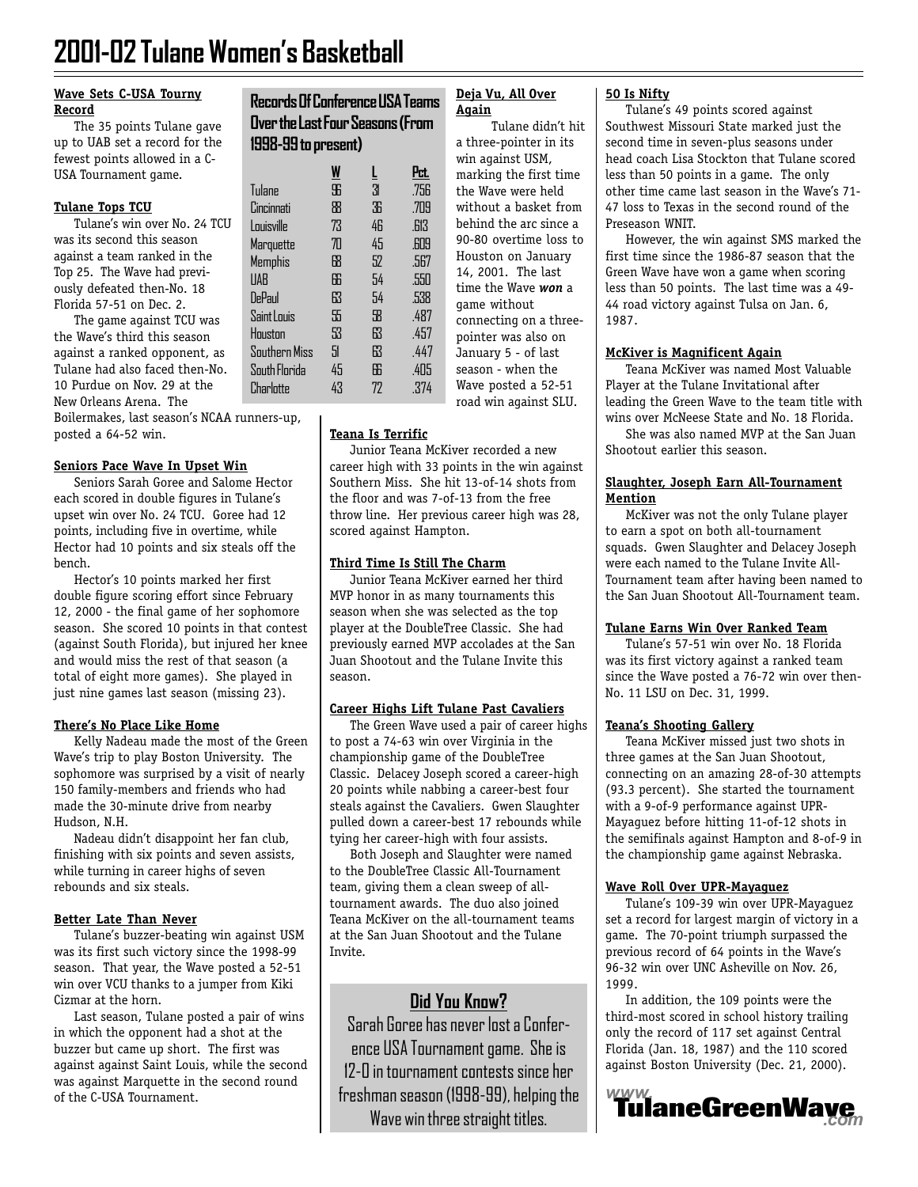# **2001-02 Tulane Women's Basketball**

#### **Wave Sets C-USA Tourny Record**

The 35 points Tulane gave up to UAB set a record for the fewest points allowed in a C-USA Tournament game.

#### **Tulane Tops TCU**

Tulane's win over No. 24 TCU was its second this season against a team ranked in the Top 25. The Wave had previously defeated then-No. 18 Florida 57-51 on Dec. 2.

The game against TCU was the Wave's third this season against a ranked opponent, as Tulane had also faced then-No. 10 Purdue on Nov. 29 at the New Orleans Arena. The

Boilermakes, last season's NCAA runners-up, posted a 64-52 win.

#### **Seniors Pace Wave In Upset Win**

Seniors Sarah Goree and Salome Hector each scored in double figures in Tulane's upset win over No. 24 TCU. Goree had 12 points, including five in overtime, while Hector had 10 points and six steals off the bench.

Hector's 10 points marked her first double figure scoring effort since February 12, 2000 - the final game of her sophomore season. She scored 10 points in that contest (against South Florida), but injured her knee and would miss the rest of that season (a total of eight more games). She played in just nine games last season (missing 23).

#### **There's No Place Like Home**

Kelly Nadeau made the most of the Green Wave's trip to play Boston University. The sophomore was surprised by a visit of nearly 150 family-members and friends who had made the 30-minute drive from nearby Hudson, N.H.

Nadeau didn't disappoint her fan club, finishing with six points and seven assists, while turning in career highs of seven rebounds and six steals.

#### **Better Late Than Never**

Tulane's buzzer-beating win against USM was its first such victory since the 1998-99 season. That year, the Wave posted a 52-51 win over VCU thanks to a jumper from Kiki Cizmar at the horn.

Last season, Tulane posted a pair of wins in which the opponent had a shot at the buzzer but came up short. The first was against against Saint Louis, while the second was against Marquette in the second round of the C-USA Tournament.

#### **Records Of Conference USA Teams Over the Last Four Seasons (From 1998-99 to present)**

|               | W  | Ī  | Pct. |
|---------------|----|----|------|
| <b>Tulane</b> | \$ | 31 | .756 |
| Cincinnati    | 88 | 36 | .709 |
| Louisville    | 73 | 46 | .613 |
| Marquette     | 70 | 45 | .609 |
| Memphis       | 牊  | 52 | .567 |
| <b>UAB</b>    | 66 | 54 | .550 |
| DePaul        | 63 | 54 | .538 |
| Saint Louis   | 55 | 58 | .487 |
| Houston       | 53 | 63 | .457 |
| Southern Miss | 51 | 63 | .447 |
| South Florida | 45 | 66 | .405 |
| Charlotte     | 43 | 72 | .374 |

#### **Deja Vu, All Over Again**

Tulane didn't hit a three-pointer in its win against USM, marking the first time the Wave were held without a basket from behind the arc since a 90-80 overtime loss to Houston on January 14, 2001. The last time the Wave *won* a game without connecting on a threepointer was also on January 5 - of last season - when the Wave posted a 52-51 road win against SLU.

#### **Teana Is Terrific**

Junior Teana McKiver recorded a new career high with 33 points in the win against Southern Miss. She hit 13-of-14 shots from the floor and was 7-of-13 from the free throw line. Her previous career high was 28, scored against Hampton.

#### **Third Time Is Still The Charm**

Junior Teana McKiver earned her third MVP honor in as many tournaments this season when she was selected as the top player at the DoubleTree Classic. She had previously earned MVP accolades at the San Juan Shootout and the Tulane Invite this season.

#### **Career Highs Lift Tulane Past Cavaliers**

The Green Wave used a pair of career highs to post a 74-63 win over Virginia in the championship game of the DoubleTree Classic. Delacey Joseph scored a career-high 20 points while nabbing a career-best four steals against the Cavaliers. Gwen Slaughter pulled down a career-best 17 rebounds while tying her career-high with four assists.

Both Joseph and Slaughter were named to the DoubleTree Classic All-Tournament team, giving them a clean sweep of alltournament awards. The duo also joined Teana McKiver on the all-tournament teams at the San Juan Shootout and the Tulane Invite.

# **Did You Know?**

Sarah Goree has never lost a Conference USA Tournament game. She is 12-0 in tournament contests since her freshman season (1998-99), helping the

#### **50 Is Nifty**

Tulane's 49 points scored against Southwest Missouri State marked just the second time in seven-plus seasons under head coach Lisa Stockton that Tulane scored less than 50 points in a game. The only other time came last season in the Wave's 71- 47 loss to Texas in the second round of the Preseason WNIT.

However, the win against SMS marked the first time since the 1986-87 season that the Green Wave have won a game when scoring less than 50 points. The last time was a 49- 44 road victory against Tulsa on Jan. 6, 1987.

#### **McKiver is Magnificent Again**

Teana McKiver was named Most Valuable Player at the Tulane Invitational after leading the Green Wave to the team title with wins over McNeese State and No. 18 Florida.

She was also named MVP at the San Juan Shootout earlier this season.

#### **Slaughter, Joseph Earn All-Tournament Mention**

McKiver was not the only Tulane player to earn a spot on both all-tournament squads. Gwen Slaughter and Delacey Joseph were each named to the Tulane Invite All-Tournament team after having been named to the San Juan Shootout All-Tournament team.

#### **Tulane Earns Win Over Ranked Team**

Tulane's 57-51 win over No. 18 Florida was its first victory against a ranked team since the Wave posted a 76-72 win over then-No. 11 LSU on Dec. 31, 1999.

#### **Teana's Shooting Gallery**

Teana McKiver missed just two shots in three games at the San Juan Shootout, connecting on an amazing 28-of-30 attempts (93.3 percent). She started the tournament with a 9-of-9 performance against UPR-Mayaguez before hitting 11-of-12 shots in the semifinals against Hampton and 8-of-9 in the championship game against Nebraska.

#### **Wave Roll Over UPR-Mayaguez**

Tulane's 109-39 win over UPR-Mayaguez set a record for largest margin of victory in a game. The 70-point triumph surpassed the previous record of 64 points in the Wave's 96-32 win over UNC Asheville on Nov. 26, 1999.

In addition, the 109 points were the third-most scored in school history trailing only the record of 117 set against Central Florida (Jan. 18, 1987) and the 110 scored against Boston University (Dec. 21, 2000).